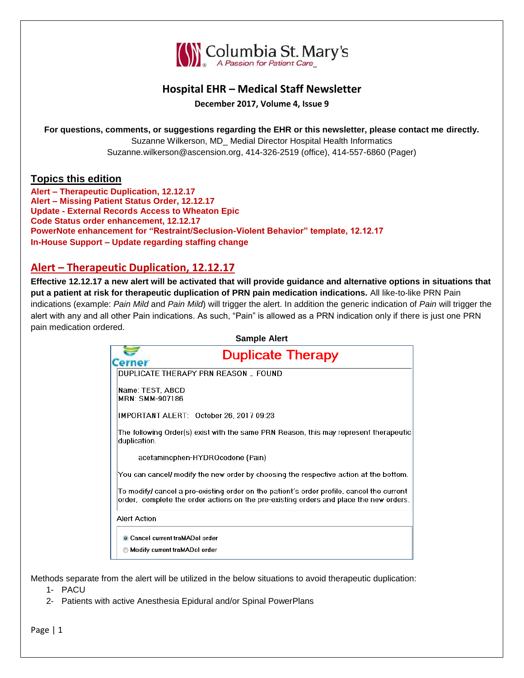

## **Hospital EHR – Medical Staff Newsletter**

**December 2017, Volume 4, Issue 9**

**For questions, comments, or suggestions regarding the EHR or this newsletter, please contact me directly.**

Suzanne Wilkerson, MD\_ Medial Director Hospital Health Informatics Suzanne.wilkerson@ascension.org, 414-326-2519 (office), 414-557-6860 (Pager)

### **Topics this edition**

**Alert – Therapeutic Duplication, 12.12.17 Alert – Missing Patient Status Order, 12.12.17 Update - External Records Access to Wheaton Epic Code Status order enhancement, 12.12.17 PowerNote enhancement for "Restraint/Seclusion-Violent Behavior" template, 12.12.17 In-House Support – Update regarding staffing change**

# **Alert – Therapeutic Duplication, 12.12.17**

**Effective 12.12.17 a new alert will be activated that will provide guidance and alternative options in situations that put a patient at risk for therapeutic duplication of PRN pain medication indications.** All like-to-like PRN Pain indications (example: *Pain Mild* and *Pain Mild*) will trigger the alert. In addition the generic indication of *Pain* will trigger the alert with any and all other Pain indications. As such, "Pain" is allowed as a PRN indication only if there is just one PRN pain medication ordered.

|                                     | <b>Sample Alert</b>                                                                                                                                                                  |
|-------------------------------------|--------------------------------------------------------------------------------------------------------------------------------------------------------------------------------------|
| <b>Cerner</b>                       | <b>Duplicate Therapy</b>                                                                                                                                                             |
|                                     | DUPLICATE THERAPY PRN REASON FOUND                                                                                                                                                   |
| Name: TEST. ABCD<br>MRN: SMM-907186 |                                                                                                                                                                                      |
|                                     | IMPORTANT ALERT: October 26, 2017 09:23                                                                                                                                              |
| duplication.                        | The following Order(s) exist with the same PRN Reason, this may represent therapeutic                                                                                                |
|                                     | acetaminophen-HYDROcodone (Pain)                                                                                                                                                     |
|                                     | You can cancel/ modify the new order by choosing the respective action at the bottom.                                                                                                |
|                                     | To modify/ cancel a pre-existing order on the patient's order profile, cancel the current-<br>order, complete the order actions on the pre-existing orders and place the new orders. |
| Alert Action                        |                                                                                                                                                                                      |
|                                     | Cancel current traMADol order                                                                                                                                                        |
|                                     | Modify current traMADol order                                                                                                                                                        |
|                                     |                                                                                                                                                                                      |

Methods separate from the alert will be utilized in the below situations to avoid therapeutic duplication:

1- PACU

2- Patients with active Anesthesia Epidural and/or Spinal PowerPlans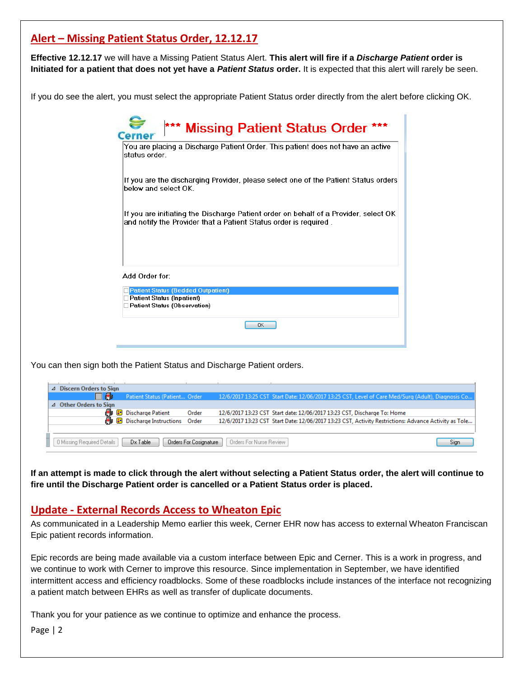# **Alert – Missing Patient Status Order, 12.12.17**

**Effective 12.12.17** we will have a Missing Patient Status Alert. **This alert will fire if a** *Discharge Patient* **order is Initiated for a patient that does not yet have a** *Patient Status* **order.** It is expected that this alert will rarely be seen.

If you do see the alert, you must select the appropriate Patient Status order directly from the alert before clicking OK.

| If you are the discharging Provider, please select one of the Patient Status orders<br>below and select OK.<br>If you are initiating the Discharge Patient order on behalf of a Provider, select OK<br>and notify the Provider that a Patient Status order is required.<br>Patient Status (Bedded Outpatient)<br>Patient Status (Inpatient)<br>Patient Status (Observation) | status order. | You are placing a Discharge Patient Order. This patient does not have an active |
|-----------------------------------------------------------------------------------------------------------------------------------------------------------------------------------------------------------------------------------------------------------------------------------------------------------------------------------------------------------------------------|---------------|---------------------------------------------------------------------------------|
|                                                                                                                                                                                                                                                                                                                                                                             |               |                                                                                 |
| Add Order for:                                                                                                                                                                                                                                                                                                                                                              |               |                                                                                 |
|                                                                                                                                                                                                                                                                                                                                                                             |               |                                                                                 |
|                                                                                                                                                                                                                                                                                                                                                                             |               |                                                                                 |
|                                                                                                                                                                                                                                                                                                                                                                             |               |                                                                                 |

You can then sign both the Patient Status and Discharge Patient orders.

| △ Discern Orders to Sign                                                                            |                                |       |  |                                                                                                       |  |  |
|-----------------------------------------------------------------------------------------------------|--------------------------------|-------|--|-------------------------------------------------------------------------------------------------------|--|--|
| 口嗣                                                                                                  | Patient Status (Patient Order  |       |  | 12/6/2017 13:25 CST Start Date: 12/06/2017 13:25 CST, Level of Care Med/Surg (Adult), Diagnosis Co    |  |  |
| △ Other Orders to Sign                                                                              |                                |       |  |                                                                                                       |  |  |
| 喦                                                                                                   | <b>Discharge Patient</b>       | Order |  | 12/6/2017 13:23 CST Start date: 12/06/2017 13:23 CST, Discharge To: Home                              |  |  |
|                                                                                                     | A Discharge Instructions Order |       |  | 12/6/2017 13:23 CST Start Date: 12/06/2017 13:23 CST, Activity Restrictions: Advance Activity as Tole |  |  |
|                                                                                                     |                                |       |  |                                                                                                       |  |  |
| Orders For Nurse Review<br>0 Missing Required Details<br>Orders For Cosignature<br>Dx Table<br>Sian |                                |       |  |                                                                                                       |  |  |

**If an attempt is made to click through the alert without selecting a Patient Status order, the alert will continue to fire until the Discharge Patient order is cancelled or a Patient Status order is placed.**

## **Update - External Records Access to Wheaton Epic**

As communicated in a Leadership Memo earlier this week, Cerner EHR now has access to external Wheaton Franciscan Epic patient records information.

Epic records are being made available via a custom interface between Epic and Cerner. This is a work in progress, and we continue to work with Cerner to improve this resource. Since implementation in September, we have identified intermittent access and efficiency roadblocks. Some of these roadblocks include instances of the interface not recognizing a patient match between EHRs as well as transfer of duplicate documents.

Thank you for your patience as we continue to optimize and enhance the process.

Page | 2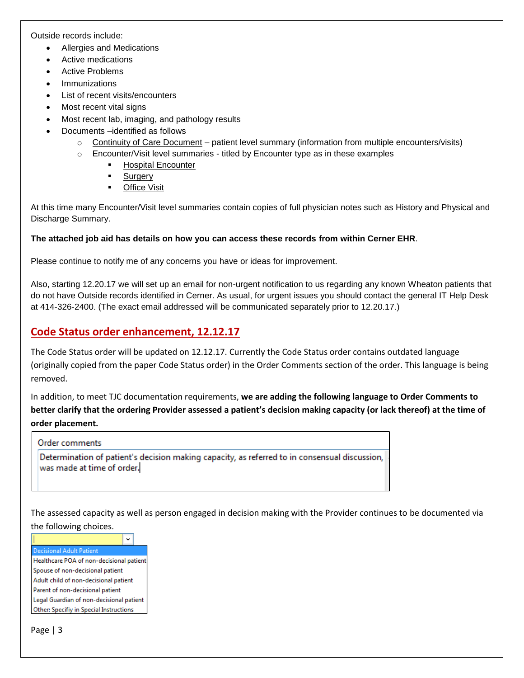Outside records include:

- Allergies and Medications
- Active medications
- Active Problems
- Immunizations
- List of recent visits/encounters
- Most recent vital signs
- Most recent lab, imaging, and pathology results
- Documents –identified as follows
	- $\circ$  Continuity of Care Document patient level summary (information from multiple encounters/visits)
	- $\circ$  Encounter/Visit level summaries titled by Encounter type as in these examples
		- **Hospital Encounter** 
			- **Surgery**
			- **-** Office Visit

At this time many Encounter/Visit level summaries contain copies of full physician notes such as History and Physical and Discharge Summary.

### **The attached job aid has details on how you can access these records from within Cerner EHR**.

Please continue to notify me of any concerns you have or ideas for improvement.

Also, starting 12.20.17 we will set up an email for non-urgent notification to us regarding any known Wheaton patients that do not have Outside records identified in Cerner. As usual, for urgent issues you should contact the general IT Help Desk at 414-326-2400. (The exact email addressed will be communicated separately prior to 12.20.17.)

## **Code Status order enhancement, 12.12.17**

The Code Status order will be updated on 12.12.17. Currently the Code Status order contains outdated language (originally copied from the paper Code Status order) in the Order Comments section of the order. This language is being removed.

In addition, to meet TJC documentation requirements, **we are adding the following language to Order Comments to better clarify that the ordering Provider assessed a patient's decision making capacity (or lack thereof) at the time of order placement.**

#### **Order comments**

Determination of patient's decision making capacity, as referred to in consensual discussion, was made at time of order.

The assessed capacity as well as person engaged in decision making with the Provider continues to be documented via the following choices.

 $\checkmark$ Decisional Adult Patient Healthcare POA of non-decisional patient Spouse of non-decisional patient Adult child of non-decisional patient Parent of non-decisional patient Legal Guardian of non-decisional patient Other: Specifiy in Special Instructions

Page | 3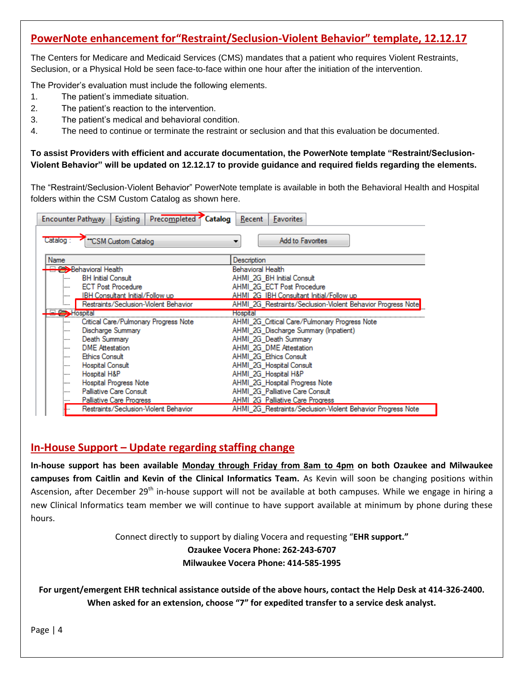# **PowerNote enhancement for"Restraint/Seclusion-Violent Behavior" template, 12.12.17**

The Centers for Medicare and Medicaid Services (CMS) mandates that a patient who requires Violent Restraints, Seclusion, or a Physical Hold be seen face-to-face within one hour after the initiation of the intervention.

The Provider's evaluation must include the following elements.

- 1. The patient's immediate situation.
- 2. The patient's reaction to the intervention.
- 3. The patient's medical and behavioral condition.
- 4. The need to continue or terminate the restraint or seclusion and that this evaluation be documented.

**To assist Providers with efficient and accurate documentation, the PowerNote template "Restraint/Seclusion-Violent Behavior" will be updated on 12.12.17 to provide guidance and required fields regarding the elements.**

The "Restraint/Seclusion-Violent Behavior" PowerNote template is available in both the Behavioral Health and Hospital folders within the CSM Custom Catalog as shown here.

| Encounter Pathway | Precompleted Catalog<br>Existing        | Recent<br><b>Favorites</b>                                  |
|-------------------|-----------------------------------------|-------------------------------------------------------------|
| Catalog:          | "CSM Custom Catalog                     | <b>Add to Favorites</b>                                     |
| Name              |                                         | Description                                                 |
|                   | <b>Behavioral Health</b>                | Behavioral Health                                           |
| :                 | <b>BH Initial Consult</b>               | AHMI_2G_BH Initial Consult                                  |
| :                 | <b>ECT Post Procedure</b>               | AHMI 2G ECT Post Procedure                                  |
| :                 | <b>IBH Consultant Initial/Follow up</b> | AHMI 2G IBH Consultant Initial/Follow up                    |
|                   | Restraints/Seclusion-Violent Behavior   | AHMI_2G_Restraints/Seclusion-Violent Behavior Progress Note |
|                   | Hospital                                | Hospital                                                    |
|                   | Critical Care/Pulmonary Progress Note   | AHMI_2G_Critical Care/Pulmonary Progress Note               |
| :                 | Discharge Summary                       | AHMI 2G Discharge Summary (Inpatient)                       |
| :                 | Death Summary                           | AHMI 2G Death Summary                                       |
|                   | <b>DME</b> Attestation                  | AHMI 2G DME Attestation                                     |
| :                 | <b>Ethics Consult</b>                   | AHMI 2G Ethics Consult                                      |
| :                 | <b>Hospital Consult</b>                 | AHMI 2G Hospital Consult                                    |
| :                 | Hospital H&P                            | AHMI 2G Hospital H&P                                        |
| :                 | <b>Hospital Progress Note</b>           | AHMI_2G_Hospital Progress Note                              |
| :                 | Palliative Care Consult                 | AHMI 2G Palliative Care Consult                             |
|                   | <b>Palliative Care Progress</b>         | AHMI 2G Palliative Care Progress                            |
|                   | Restraints/Seclusion-Violent Behavior   | AHMI 2G Restraints/Seclusion-Violent Behavior Progress Note |

## **In-House Support – Update regarding staffing change**

**In-house support has been available Monday through Friday from 8am to 4pm on both Ozaukee and Milwaukee campuses from Caitlin and Kevin of the Clinical Informatics Team.** As Kevin will soon be changing positions within Ascension, after December 29<sup>th</sup> in-house support will not be available at both campuses. While we engage in hiring a new Clinical Informatics team member we will continue to have support available at minimum by phone during these hours.

> Connect directly to support by dialing Vocera and requesting "**EHR support." Ozaukee Vocera Phone: 262-243-6707**

> > **Milwaukee Vocera Phone: 414-585-1995**

**For urgent/emergent EHR technical assistance outside of the above hours, contact the Help Desk at 414-326-2400. When asked for an extension, choose "7" for expedited transfer to a service desk analyst.**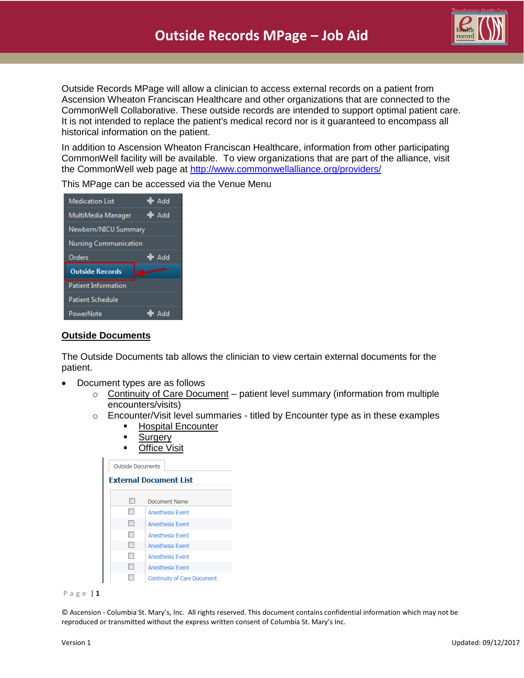

Outside Records MPage will allow a clinician to access external records on a patient from Ascension Wheaton Franciscan Healthcare and other organizations that are connected to the CommonWell Collaborative. These outside records are intended to support optimal patient care. It is not intended to replace the patient's medical record nor is it guaranteed to encompass all historical information on the patient.

In addition to Ascension Wheaton Franciscan Healthcare, information from other participating CommonWell facility will be available. To view organizations that are part of the alliance, visit the CommonWell web page at <http://www.commonwellalliance.org/providers/>



This MPage can be accessed via the Venue Menu

### **Outside Documents**

The Outside Documents tab allows the clinician to view certain external documents for the patient.

- Document types are as follows
	- o Continuity of Care Document patient level summary (information from multiple encounters/visits)
	- $\circ$  Encounter/Visit level summaries titled by Encounter type as in these examples
		- **Hospital Encounter**
		- **Surgery**
		- **Office Visit**

| <b>Outside Documents</b>      |                                    |  |  |  |  |
|-------------------------------|------------------------------------|--|--|--|--|
| <b>External Document List</b> |                                    |  |  |  |  |
| ٠                             | Document Name                      |  |  |  |  |
|                               | Anesthesia Event                   |  |  |  |  |
|                               | Anesthesia Event                   |  |  |  |  |
| æ                             | Anesthesia Event                   |  |  |  |  |
|                               | Anesthesia Event                   |  |  |  |  |
|                               | Anesthesia Event                   |  |  |  |  |
|                               | Anesthesia Event                   |  |  |  |  |
|                               | <b>Continuity of Care Document</b> |  |  |  |  |



© Ascension - Columbia St. Mary's, Inc. All rights reserved. This document contains confidential information which may not be reproduced or transmitted without the express written consent of Columbia St. Mary's Inc.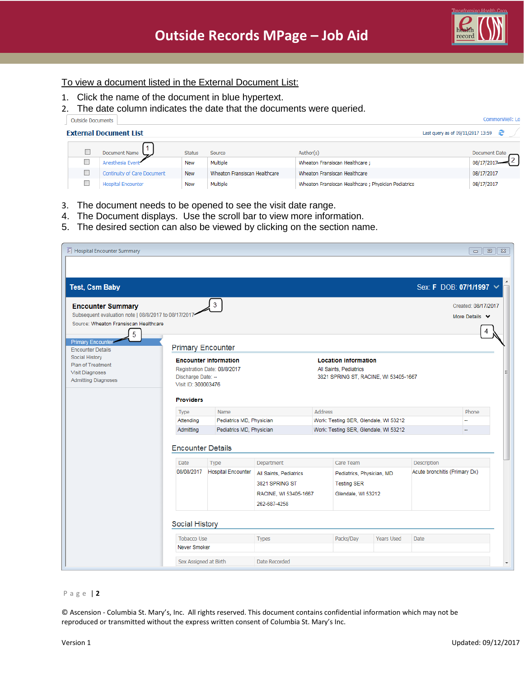CommonWell: Lo

### To view a document listed in the External Document List:

- 1. Click the name of the document in blue hypertext.
- 2. The date column indicates the date that the documents were queried.

| side Documents |
|----------------|

|  | <b>External Document List</b>      |               |                               |                                                      | Last query as of 09/11/2017 13:59 $Q^2$ |  |
|--|------------------------------------|---------------|-------------------------------|------------------------------------------------------|-----------------------------------------|--|
|  | Document Name                      | <b>Status</b> | Source                        | Author(s)                                            | Document Date                           |  |
|  | Anesthesia Event                   | <b>New</b>    | Multiple                      | Wheaton Fransiscan Healthcare ;                      | 08/17/201                               |  |
|  | <b>Continuity of Care Document</b> | <b>New</b>    | Wheaton Fransiscan Healthcare | Wheaton Fransiscan Healthcare                        | 08/17/2017                              |  |
|  | <b>Hospital Encounter</b>          | <b>New</b>    | Multiple                      | Wheaton Fransiscan Healthcare ; Physician Pediatrics | 08/17/2017                              |  |

- 3. The document needs to be opened to see the visit date range.
- 4. The Document displays. Use the scroll bar to view more information.
- 5. The desired section can also be viewed by clicking on the section name.

| Sex: F DOB: 07/1/1997 V<br><b>Test, Csm Baby</b><br>3<br><b>Encounter Summary</b><br>Created: 08/17/2017<br>Subsequent evaluation note   08/8/2017 to 08/17/2017<br>More Details v<br>Source: Wheaton Fransiscan Healthcare<br>5<br><b>Primary Encounte</b><br><b>Primary Encounter</b><br><b>Encounter Details</b><br><b>Social History</b><br><b>Location Information</b><br><b>Encounter Information</b><br>Plan of Treatment<br>Registration Date: 08/8/2017<br>All Saints, Pediatrics<br><b>Visit Diagnoses</b><br>Discharge Date: --<br>3821 SPRING ST, RACINE, WI 53405-1667<br><b>Admitting Diagnoses</b><br>Visit ID: 300003476<br><b>Providers</b><br>Address<br>Name<br>Phone<br>Type<br>Pediatrics MD, Physician<br>Work: Testing SER, Glendale, WI 53212<br>Attending<br>Pediatrics MD, Physician<br>Work: Testing SER, Glendale, WI 53212<br>Admitting |  |  |  |  |  |  |  |
|----------------------------------------------------------------------------------------------------------------------------------------------------------------------------------------------------------------------------------------------------------------------------------------------------------------------------------------------------------------------------------------------------------------------------------------------------------------------------------------------------------------------------------------------------------------------------------------------------------------------------------------------------------------------------------------------------------------------------------------------------------------------------------------------------------------------------------------------------------------------|--|--|--|--|--|--|--|
|                                                                                                                                                                                                                                                                                                                                                                                                                                                                                                                                                                                                                                                                                                                                                                                                                                                                      |  |  |  |  |  |  |  |
|                                                                                                                                                                                                                                                                                                                                                                                                                                                                                                                                                                                                                                                                                                                                                                                                                                                                      |  |  |  |  |  |  |  |
|                                                                                                                                                                                                                                                                                                                                                                                                                                                                                                                                                                                                                                                                                                                                                                                                                                                                      |  |  |  |  |  |  |  |
|                                                                                                                                                                                                                                                                                                                                                                                                                                                                                                                                                                                                                                                                                                                                                                                                                                                                      |  |  |  |  |  |  |  |
|                                                                                                                                                                                                                                                                                                                                                                                                                                                                                                                                                                                                                                                                                                                                                                                                                                                                      |  |  |  |  |  |  |  |
|                                                                                                                                                                                                                                                                                                                                                                                                                                                                                                                                                                                                                                                                                                                                                                                                                                                                      |  |  |  |  |  |  |  |
|                                                                                                                                                                                                                                                                                                                                                                                                                                                                                                                                                                                                                                                                                                                                                                                                                                                                      |  |  |  |  |  |  |  |
|                                                                                                                                                                                                                                                                                                                                                                                                                                                                                                                                                                                                                                                                                                                                                                                                                                                                      |  |  |  |  |  |  |  |
|                                                                                                                                                                                                                                                                                                                                                                                                                                                                                                                                                                                                                                                                                                                                                                                                                                                                      |  |  |  |  |  |  |  |
|                                                                                                                                                                                                                                                                                                                                                                                                                                                                                                                                                                                                                                                                                                                                                                                                                                                                      |  |  |  |  |  |  |  |
|                                                                                                                                                                                                                                                                                                                                                                                                                                                                                                                                                                                                                                                                                                                                                                                                                                                                      |  |  |  |  |  |  |  |
|                                                                                                                                                                                                                                                                                                                                                                                                                                                                                                                                                                                                                                                                                                                                                                                                                                                                      |  |  |  |  |  |  |  |
|                                                                                                                                                                                                                                                                                                                                                                                                                                                                                                                                                                                                                                                                                                                                                                                                                                                                      |  |  |  |  |  |  |  |
|                                                                                                                                                                                                                                                                                                                                                                                                                                                                                                                                                                                                                                                                                                                                                                                                                                                                      |  |  |  |  |  |  |  |
|                                                                                                                                                                                                                                                                                                                                                                                                                                                                                                                                                                                                                                                                                                                                                                                                                                                                      |  |  |  |  |  |  |  |
|                                                                                                                                                                                                                                                                                                                                                                                                                                                                                                                                                                                                                                                                                                                                                                                                                                                                      |  |  |  |  |  |  |  |
| <b>Encounter Details</b>                                                                                                                                                                                                                                                                                                                                                                                                                                                                                                                                                                                                                                                                                                                                                                                                                                             |  |  |  |  |  |  |  |
|                                                                                                                                                                                                                                                                                                                                                                                                                                                                                                                                                                                                                                                                                                                                                                                                                                                                      |  |  |  |  |  |  |  |
| Care Team<br>Description<br>Date<br>Department<br>Type                                                                                                                                                                                                                                                                                                                                                                                                                                                                                                                                                                                                                                                                                                                                                                                                               |  |  |  |  |  |  |  |
| 08/08/2017<br><b>Hospital Encounter</b><br>Acute bronchitis (Primary Dx)<br>All Saints, Pediatrics<br>Pediatrics, Physician, MD                                                                                                                                                                                                                                                                                                                                                                                                                                                                                                                                                                                                                                                                                                                                      |  |  |  |  |  |  |  |
| 3821 SPRING ST<br><b>Testing SER</b>                                                                                                                                                                                                                                                                                                                                                                                                                                                                                                                                                                                                                                                                                                                                                                                                                                 |  |  |  |  |  |  |  |
| RACINE, WI 53405-1667<br>Glendale, WI 53212                                                                                                                                                                                                                                                                                                                                                                                                                                                                                                                                                                                                                                                                                                                                                                                                                          |  |  |  |  |  |  |  |
| 262-687-4258                                                                                                                                                                                                                                                                                                                                                                                                                                                                                                                                                                                                                                                                                                                                                                                                                                                         |  |  |  |  |  |  |  |
|                                                                                                                                                                                                                                                                                                                                                                                                                                                                                                                                                                                                                                                                                                                                                                                                                                                                      |  |  |  |  |  |  |  |
| <b>Social History</b>                                                                                                                                                                                                                                                                                                                                                                                                                                                                                                                                                                                                                                                                                                                                                                                                                                                |  |  |  |  |  |  |  |
| <b>Tobacco Use</b><br>Packs/Day<br><b>Types</b><br>Years Used<br><b>Date</b>                                                                                                                                                                                                                                                                                                                                                                                                                                                                                                                                                                                                                                                                                                                                                                                         |  |  |  |  |  |  |  |
| Never Smoker                                                                                                                                                                                                                                                                                                                                                                                                                                                                                                                                                                                                                                                                                                                                                                                                                                                         |  |  |  |  |  |  |  |
| Sex Assigned at Birth<br>Date Recorded                                                                                                                                                                                                                                                                                                                                                                                                                                                                                                                                                                                                                                                                                                                                                                                                                               |  |  |  |  |  |  |  |

#### P a g e | **2**

© Ascension - Columbia St. Mary's, Inc. All rights reserved. This document contains confidential information which may not be reproduced or transmitted without the express written consent of Columbia St. Mary's Inc.